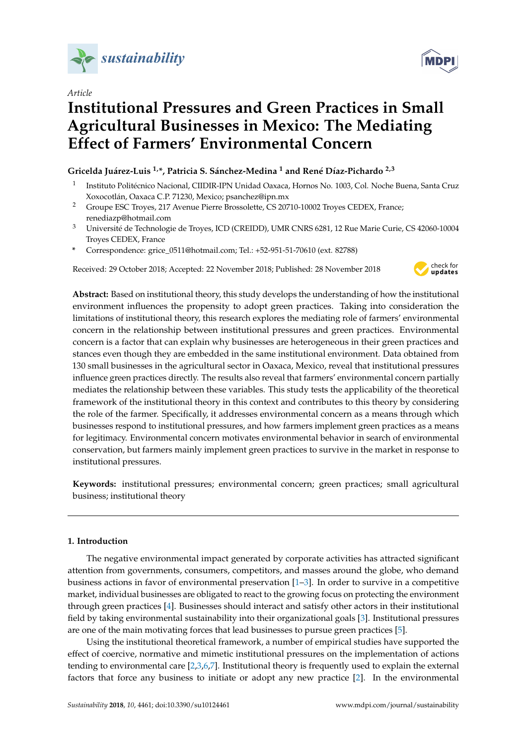

*Article*

# **Institutional Pressures and Green Practices in Small Agricultural Businesses in Mexico: The Mediating Effect of Farmers' Environmental Concern**

## **Gricelda Juárez-Luis 1,\*, Patricia S. Sánchez-Medina <sup>1</sup> and René Díaz-Pichardo 2,3**

- 1 Instituto Politécnico Nacional, CIIDIR-IPN Unidad Oaxaca, Hornos No. 1003, Col. Noche Buena, Santa Cruz Xoxocotlán, Oaxaca C.P. 71230, Mexico; psanchez@ipn.mx
- <sup>2</sup> Groupe ESC Troyes, 217 Avenue Pierre Brossolette, CS 20710-10002 Troyes CEDEX, France; renediazp@hotmail.com
- <sup>3</sup> Université de Technologie de Troyes, ICD (CREIDD), UMR CNRS 6281, 12 Rue Marie Curie, CS 42060-10004 Troyes CEDEX, France
- **\*** Correspondence: grice\_0511@hotmail.com; Tel.: +52-951-51-70610 (ext. 82788)

Received: 29 October 2018; Accepted: 22 November 2018; Published: 28 November 2018



**Abstract:** Based on institutional theory, this study develops the understanding of how the institutional environment influences the propensity to adopt green practices. Taking into consideration the limitations of institutional theory, this research explores the mediating role of farmers' environmental concern in the relationship between institutional pressures and green practices. Environmental concern is a factor that can explain why businesses are heterogeneous in their green practices and stances even though they are embedded in the same institutional environment. Data obtained from 130 small businesses in the agricultural sector in Oaxaca, Mexico, reveal that institutional pressures influence green practices directly. The results also reveal that farmers' environmental concern partially mediates the relationship between these variables. This study tests the applicability of the theoretical framework of the institutional theory in this context and contributes to this theory by considering the role of the farmer. Specifically, it addresses environmental concern as a means through which businesses respond to institutional pressures, and how farmers implement green practices as a means for legitimacy. Environmental concern motivates environmental behavior in search of environmental conservation, but farmers mainly implement green practices to survive in the market in response to institutional pressures.

**Keywords:** institutional pressures; environmental concern; green practices; small agricultural business; institutional theory

## **1. Introduction**

The negative environmental impact generated by corporate activities has attracted significant attention from governments, consumers, competitors, and masses around the globe, who demand business actions in favor of environmental preservation [\[1](#page-15-0)[–3\]](#page-15-1). In order to survive in a competitive market, individual businesses are obligated to react to the growing focus on protecting the environment through green practices [\[4\]](#page-15-2). Businesses should interact and satisfy other actors in their institutional field by taking environmental sustainability into their organizational goals [\[3\]](#page-15-1). Institutional pressures are one of the main motivating forces that lead businesses to pursue green practices [\[5\]](#page-15-3).

Using the institutional theoretical framework, a number of empirical studies have supported the effect of coercive, normative and mimetic institutional pressures on the implementation of actions tending to environmental care [\[2,](#page-15-4)[3,](#page-15-1)[6,](#page-15-5)[7\]](#page-15-6). Institutional theory is frequently used to explain the external factors that force any business to initiate or adopt any new practice [\[2\]](#page-15-4). In the environmental

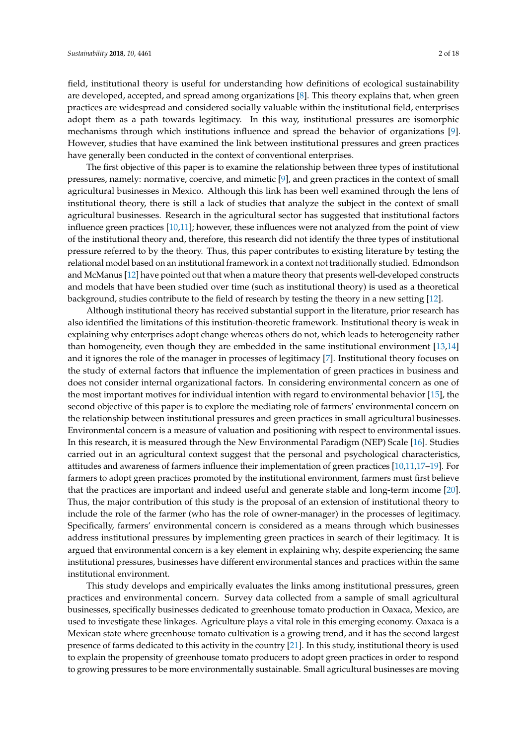field, institutional theory is useful for understanding how definitions of ecological sustainability are developed, accepted, and spread among organizations [\[8\]](#page-15-7). This theory explains that, when green practices are widespread and considered socially valuable within the institutional field, enterprises adopt them as a path towards legitimacy. In this way, institutional pressures are isomorphic mechanisms through which institutions influence and spread the behavior of organizations [\[9\]](#page-15-8). However, studies that have examined the link between institutional pressures and green practices have generally been conducted in the context of conventional enterprises.

The first objective of this paper is to examine the relationship between three types of institutional pressures, namely: normative, coercive, and mimetic [\[9\]](#page-15-8), and green practices in the context of small agricultural businesses in Mexico. Although this link has been well examined through the lens of institutional theory, there is still a lack of studies that analyze the subject in the context of small agricultural businesses. Research in the agricultural sector has suggested that institutional factors influence green practices [\[10,](#page-15-9)[11\]](#page-15-10); however, these influences were not analyzed from the point of view of the institutional theory and, therefore, this research did not identify the three types of institutional pressure referred to by the theory. Thus, this paper contributes to existing literature by testing the relational model based on an institutional framework in a context not traditionally studied. Edmondson and McManus [\[12\]](#page-15-11) have pointed out that when a mature theory that presents well-developed constructs and models that have been studied over time (such as institutional theory) is used as a theoretical background, studies contribute to the field of research by testing the theory in a new setting [\[12\]](#page-15-11).

Although institutional theory has received substantial support in the literature, prior research has also identified the limitations of this institution-theoretic framework. Institutional theory is weak in explaining why enterprises adopt change whereas others do not, which leads to heterogeneity rather than homogeneity, even though they are embedded in the same institutional environment [\[13](#page-16-0)[,14\]](#page-16-1) and it ignores the role of the manager in processes of legitimacy [\[7\]](#page-15-6). Institutional theory focuses on the study of external factors that influence the implementation of green practices in business and does not consider internal organizational factors. In considering environmental concern as one of the most important motives for individual intention with regard to environmental behavior [\[15\]](#page-16-2), the second objective of this paper is to explore the mediating role of farmers' environmental concern on the relationship between institutional pressures and green practices in small agricultural businesses. Environmental concern is a measure of valuation and positioning with respect to environmental issues. In this research, it is measured through the New Environmental Paradigm (NEP) Scale [\[16\]](#page-16-3). Studies carried out in an agricultural context suggest that the personal and psychological characteristics, attitudes and awareness of farmers influence their implementation of green practices [\[10](#page-15-9)[,11](#page-15-10)[,17–](#page-16-4)[19\]](#page-16-5). For farmers to adopt green practices promoted by the institutional environment, farmers must first believe that the practices are important and indeed useful and generate stable and long-term income [\[20\]](#page-16-6). Thus, the major contribution of this study is the proposal of an extension of institutional theory to include the role of the farmer (who has the role of owner-manager) in the processes of legitimacy. Specifically, farmers' environmental concern is considered as a means through which businesses address institutional pressures by implementing green practices in search of their legitimacy. It is argued that environmental concern is a key element in explaining why, despite experiencing the same institutional pressures, businesses have different environmental stances and practices within the same institutional environment.

This study develops and empirically evaluates the links among institutional pressures, green practices and environmental concern. Survey data collected from a sample of small agricultural businesses, specifically businesses dedicated to greenhouse tomato production in Oaxaca, Mexico, are used to investigate these linkages. Agriculture plays a vital role in this emerging economy. Oaxaca is a Mexican state where greenhouse tomato cultivation is a growing trend, and it has the second largest presence of farms dedicated to this activity in the country [\[21\]](#page-16-7). In this study, institutional theory is used to explain the propensity of greenhouse tomato producers to adopt green practices in order to respond to growing pressures to be more environmentally sustainable. Small agricultural businesses are moving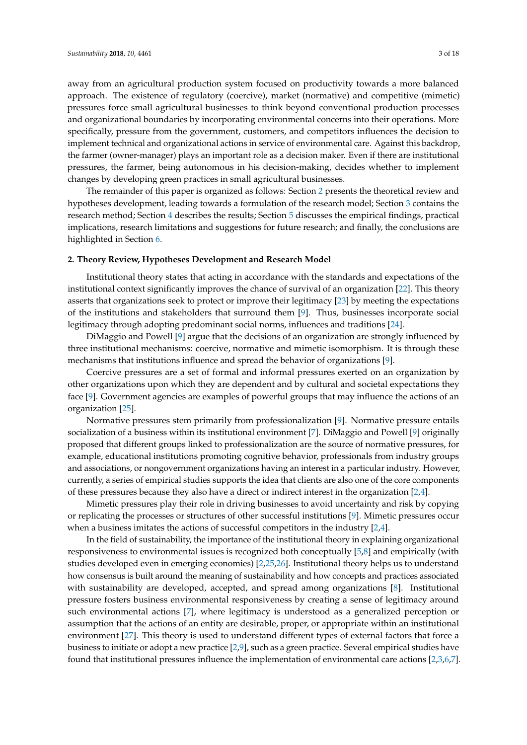away from an agricultural production system focused on productivity towards a more balanced approach. The existence of regulatory (coercive), market (normative) and competitive (mimetic) pressures force small agricultural businesses to think beyond conventional production processes and organizational boundaries by incorporating environmental concerns into their operations. More specifically, pressure from the government, customers, and competitors influences the decision to implement technical and organizational actions in service of environmental care. Against this backdrop, the farmer (owner-manager) plays an important role as a decision maker. Even if there are institutional pressures, the farmer, being autonomous in his decision-making, decides whether to implement changes by developing green practices in small agricultural businesses.

The remainder of this paper is organized as follows: Section [2](#page-2-0) presents the theoretical review and hypotheses development, leading towards a formulation of the research model; Section [3](#page-7-0) contains the research method; Section [4](#page-10-0) describes the results; Section [5](#page-13-0) discusses the empirical findings, practical implications, research limitations and suggestions for future research; and finally, the conclusions are highlighted in Section [6.](#page-14-0)

#### <span id="page-2-0"></span>**2. Theory Review, Hypotheses Development and Research Model**

Institutional theory states that acting in accordance with the standards and expectations of the institutional context significantly improves the chance of survival of an organization [\[22\]](#page-16-8). This theory asserts that organizations seek to protect or improve their legitimacy [\[23\]](#page-16-9) by meeting the expectations of the institutions and stakeholders that surround them [\[9\]](#page-15-8). Thus, businesses incorporate social legitimacy through adopting predominant social norms, influences and traditions [\[24\]](#page-16-10).

DiMaggio and Powell [\[9\]](#page-15-8) argue that the decisions of an organization are strongly influenced by three institutional mechanisms: coercive, normative and mimetic isomorphism. It is through these mechanisms that institutions influence and spread the behavior of organizations [\[9\]](#page-15-8).

Coercive pressures are a set of formal and informal pressures exerted on an organization by other organizations upon which they are dependent and by cultural and societal expectations they face [\[9\]](#page-15-8). Government agencies are examples of powerful groups that may influence the actions of an organization [\[25\]](#page-16-11).

Normative pressures stem primarily from professionalization [\[9\]](#page-15-8). Normative pressure entails socialization of a business within its institutional environment [\[7\]](#page-15-6). DiMaggio and Powell [\[9\]](#page-15-8) originally proposed that different groups linked to professionalization are the source of normative pressures, for example, educational institutions promoting cognitive behavior, professionals from industry groups and associations, or nongovernment organizations having an interest in a particular industry. However, currently, a series of empirical studies supports the idea that clients are also one of the core components of these pressures because they also have a direct or indirect interest in the organization [\[2,](#page-15-4)[4\]](#page-15-2).

Mimetic pressures play their role in driving businesses to avoid uncertainty and risk by copying or replicating the processes or structures of other successful institutions [\[9\]](#page-15-8). Mimetic pressures occur when a business imitates the actions of successful competitors in the industry [\[2](#page-15-4)[,4\]](#page-15-2).

In the field of sustainability, the importance of the institutional theory in explaining organizational responsiveness to environmental issues is recognized both conceptually [\[5](#page-15-3)[,8\]](#page-15-7) and empirically (with studies developed even in emerging economies) [\[2,](#page-15-4)[25](#page-16-11)[,26\]](#page-16-12). Institutional theory helps us to understand how consensus is built around the meaning of sustainability and how concepts and practices associated with sustainability are developed, accepted, and spread among organizations [\[8\]](#page-15-7). Institutional pressure fosters business environmental responsiveness by creating a sense of legitimacy around such environmental actions [\[7\]](#page-15-6), where legitimacy is understood as a generalized perception or assumption that the actions of an entity are desirable, proper, or appropriate within an institutional environment [\[27\]](#page-16-13). This theory is used to understand different types of external factors that force a business to initiate or adopt a new practice [\[2,](#page-15-4)[9\]](#page-15-8), such as a green practice. Several empirical studies have found that institutional pressures influence the implementation of environmental care actions [\[2](#page-15-4)[,3](#page-15-1)[,6](#page-15-5)[,7\]](#page-15-6).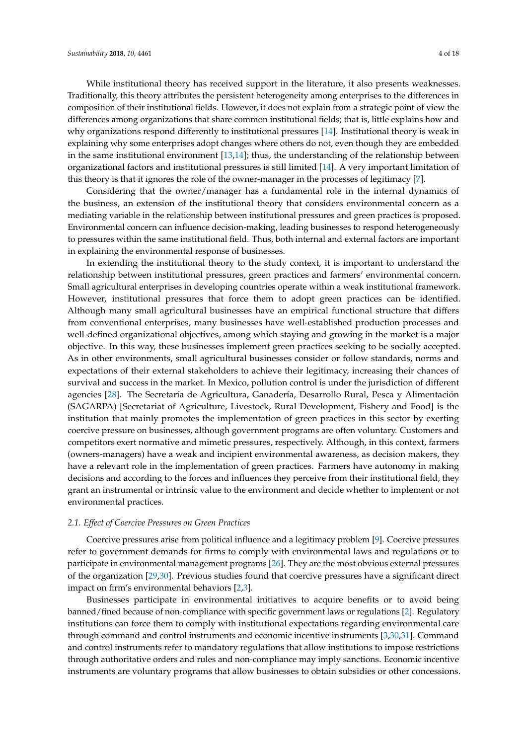While institutional theory has received support in the literature, it also presents weaknesses. Traditionally, this theory attributes the persistent heterogeneity among enterprises to the differences in composition of their institutional fields. However, it does not explain from a strategic point of view the differences among organizations that share common institutional fields; that is, little explains how and why organizations respond differently to institutional pressures [\[14\]](#page-16-1). Institutional theory is weak in explaining why some enterprises adopt changes where others do not, even though they are embedded in the same institutional environment [\[13](#page-16-0)[,14\]](#page-16-1); thus, the understanding of the relationship between organizational factors and institutional pressures is still limited [\[14\]](#page-16-1). A very important limitation of this theory is that it ignores the role of the owner-manager in the processes of legitimacy [\[7\]](#page-15-6).

Considering that the owner/manager has a fundamental role in the internal dynamics of the business, an extension of the institutional theory that considers environmental concern as a mediating variable in the relationship between institutional pressures and green practices is proposed. Environmental concern can influence decision-making, leading businesses to respond heterogeneously to pressures within the same institutional field. Thus, both internal and external factors are important in explaining the environmental response of businesses.

In extending the institutional theory to the study context, it is important to understand the relationship between institutional pressures, green practices and farmers' environmental concern. Small agricultural enterprises in developing countries operate within a weak institutional framework. However, institutional pressures that force them to adopt green practices can be identified. Although many small agricultural businesses have an empirical functional structure that differs from conventional enterprises, many businesses have well-established production processes and well-defined organizational objectives, among which staying and growing in the market is a major objective. In this way, these businesses implement green practices seeking to be socially accepted. As in other environments, small agricultural businesses consider or follow standards, norms and expectations of their external stakeholders to achieve their legitimacy, increasing their chances of survival and success in the market. In Mexico, pollution control is under the jurisdiction of different agencies [\[28\]](#page-16-14). The Secretaría de Agricultura, Ganadería, Desarrollo Rural, Pesca y Alimentación (SAGARPA) [Secretariat of Agriculture, Livestock, Rural Development, Fishery and Food] is the institution that mainly promotes the implementation of green practices in this sector by exerting coercive pressure on businesses, although government programs are often voluntary. Customers and competitors exert normative and mimetic pressures, respectively. Although, in this context, farmers (owners-managers) have a weak and incipient environmental awareness, as decision makers, they have a relevant role in the implementation of green practices. Farmers have autonomy in making decisions and according to the forces and influences they perceive from their institutional field, they grant an instrumental or intrinsic value to the environment and decide whether to implement or not environmental practices.

## *2.1. Effect of Coercive Pressures on Green Practices*

Coercive pressures arise from political influence and a legitimacy problem [\[9\]](#page-15-8). Coercive pressures refer to government demands for firms to comply with environmental laws and regulations or to participate in environmental management programs [\[26\]](#page-16-12). They are the most obvious external pressures of the organization [\[29](#page-16-15)[,30\]](#page-16-16). Previous studies found that coercive pressures have a significant direct impact on firm's environmental behaviors [\[2](#page-15-4)[,3\]](#page-15-1).

Businesses participate in environmental initiatives to acquire benefits or to avoid being banned/fined because of non-compliance with specific government laws or regulations [\[2\]](#page-15-4). Regulatory institutions can force them to comply with institutional expectations regarding environmental care through command and control instruments and economic incentive instruments [\[3,](#page-15-1)[30,](#page-16-16)[31\]](#page-16-17). Command and control instruments refer to mandatory regulations that allow institutions to impose restrictions through authoritative orders and rules and non-compliance may imply sanctions. Economic incentive instruments are voluntary programs that allow businesses to obtain subsidies or other concessions.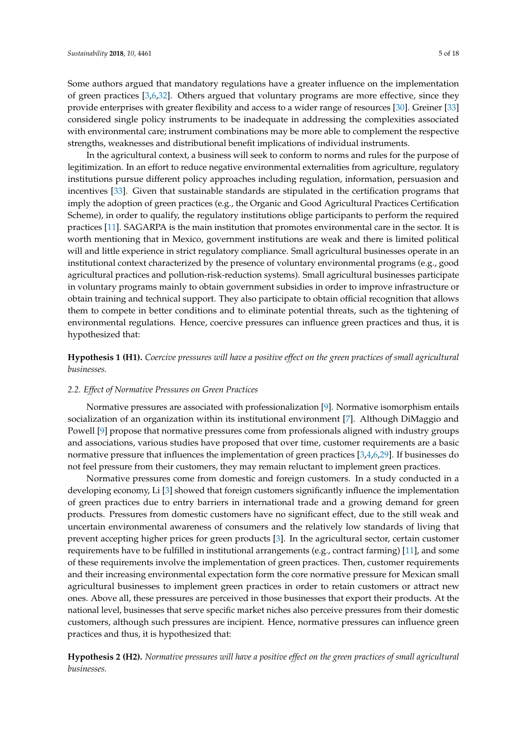Some authors argued that mandatory regulations have a greater influence on the implementation of green practices [\[3](#page-15-1)[,6](#page-15-5)[,32\]](#page-16-18). Others argued that voluntary programs are more effective, since they provide enterprises with greater flexibility and access to a wider range of resources [\[30\]](#page-16-16). Greiner [\[33\]](#page-16-19) considered single policy instruments to be inadequate in addressing the complexities associated with environmental care; instrument combinations may be more able to complement the respective strengths, weaknesses and distributional benefit implications of individual instruments.

In the agricultural context, a business will seek to conform to norms and rules for the purpose of legitimization. In an effort to reduce negative environmental externalities from agriculture, regulatory institutions pursue different policy approaches including regulation, information, persuasion and incentives [\[33\]](#page-16-19). Given that sustainable standards are stipulated in the certification programs that imply the adoption of green practices (e.g., the Organic and Good Agricultural Practices Certification Scheme), in order to qualify, the regulatory institutions oblige participants to perform the required practices [\[11\]](#page-15-10). SAGARPA is the main institution that promotes environmental care in the sector. It is worth mentioning that in Mexico, government institutions are weak and there is limited political will and little experience in strict regulatory compliance. Small agricultural businesses operate in an institutional context characterized by the presence of voluntary environmental programs (e.g., good agricultural practices and pollution-risk-reduction systems). Small agricultural businesses participate in voluntary programs mainly to obtain government subsidies in order to improve infrastructure or obtain training and technical support. They also participate to obtain official recognition that allows them to compete in better conditions and to eliminate potential threats, such as the tightening of environmental regulations. Hence, coercive pressures can influence green practices and thus, it is hypothesized that:

**Hypothesis 1 (H1).** *Coercive pressures will have a positive effect on the green practices of small agricultural businesses.*

## *2.2. Effect of Normative Pressures on Green Practices*

Normative pressures are associated with professionalization [\[9\]](#page-15-8). Normative isomorphism entails socialization of an organization within its institutional environment [\[7\]](#page-15-6). Although DiMaggio and Powell [\[9\]](#page-15-8) propose that normative pressures come from professionals aligned with industry groups and associations, various studies have proposed that over time, customer requirements are a basic normative pressure that influences the implementation of green practices [\[3,](#page-15-1)[4](#page-15-2)[,6](#page-15-5)[,29\]](#page-16-15). If businesses do not feel pressure from their customers, they may remain reluctant to implement green practices.

Normative pressures come from domestic and foreign customers. In a study conducted in a developing economy, Li [\[3\]](#page-15-1) showed that foreign customers significantly influence the implementation of green practices due to entry barriers in international trade and a growing demand for green products. Pressures from domestic customers have no significant effect, due to the still weak and uncertain environmental awareness of consumers and the relatively low standards of living that prevent accepting higher prices for green products [\[3\]](#page-15-1). In the agricultural sector, certain customer requirements have to be fulfilled in institutional arrangements (e.g., contract farming) [\[11\]](#page-15-10), and some of these requirements involve the implementation of green practices. Then, customer requirements and their increasing environmental expectation form the core normative pressure for Mexican small agricultural businesses to implement green practices in order to retain customers or attract new ones. Above all, these pressures are perceived in those businesses that export their products. At the national level, businesses that serve specific market niches also perceive pressures from their domestic customers, although such pressures are incipient. Hence, normative pressures can influence green practices and thus, it is hypothesized that:

**Hypothesis 2 (H2).** *Normative pressures will have a positive effect on the green practices of small agricultural businesses.*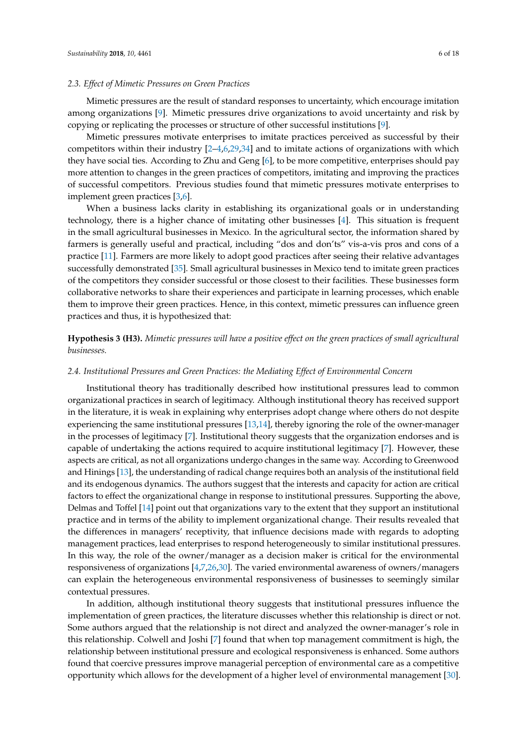## *2.3. Effect of Mimetic Pressures on Green Practices*

Mimetic pressures are the result of standard responses to uncertainty, which encourage imitation among organizations [\[9\]](#page-15-8). Mimetic pressures drive organizations to avoid uncertainty and risk by copying or replicating the processes or structure of other successful institutions [\[9\]](#page-15-8).

Mimetic pressures motivate enterprises to imitate practices perceived as successful by their competitors within their industry [\[2](#page-15-4)[–4,](#page-15-2)[6,](#page-15-5)[29,](#page-16-15)[34\]](#page-16-20) and to imitate actions of organizations with which they have social ties. According to Zhu and Geng [\[6\]](#page-15-5), to be more competitive, enterprises should pay more attention to changes in the green practices of competitors, imitating and improving the practices of successful competitors. Previous studies found that mimetic pressures motivate enterprises to implement green practices [\[3](#page-15-1)[,6\]](#page-15-5).

When a business lacks clarity in establishing its organizational goals or in understanding technology, there is a higher chance of imitating other businesses [\[4\]](#page-15-2). This situation is frequent in the small agricultural businesses in Mexico. In the agricultural sector, the information shared by farmers is generally useful and practical, including "dos and don'ts" vis-a-vis pros and cons of a practice [\[11\]](#page-15-10). Farmers are more likely to adopt good practices after seeing their relative advantages successfully demonstrated [\[35\]](#page-16-21). Small agricultural businesses in Mexico tend to imitate green practices of the competitors they consider successful or those closest to their facilities. These businesses form collaborative networks to share their experiences and participate in learning processes, which enable them to improve their green practices. Hence, in this context, mimetic pressures can influence green practices and thus, it is hypothesized that:

**Hypothesis 3 (H3).** *Mimetic pressures will have a positive effect on the green practices of small agricultural businesses.*

## *2.4. Institutional Pressures and Green Practices: the Mediating Effect of Environmental Concern*

Institutional theory has traditionally described how institutional pressures lead to common organizational practices in search of legitimacy. Although institutional theory has received support in the literature, it is weak in explaining why enterprises adopt change where others do not despite experiencing the same institutional pressures [\[13,](#page-16-0)[14\]](#page-16-1), thereby ignoring the role of the owner-manager in the processes of legitimacy [\[7\]](#page-15-6). Institutional theory suggests that the organization endorses and is capable of undertaking the actions required to acquire institutional legitimacy [\[7\]](#page-15-6). However, these aspects are critical, as not all organizations undergo changes in the same way. According to Greenwood and Hinings [\[13\]](#page-16-0), the understanding of radical change requires both an analysis of the institutional field and its endogenous dynamics. The authors suggest that the interests and capacity for action are critical factors to effect the organizational change in response to institutional pressures. Supporting the above, Delmas and Toffel [\[14\]](#page-16-1) point out that organizations vary to the extent that they support an institutional practice and in terms of the ability to implement organizational change. Their results revealed that the differences in managers' receptivity, that influence decisions made with regards to adopting management practices, lead enterprises to respond heterogeneously to similar institutional pressures. In this way, the role of the owner/manager as a decision maker is critical for the environmental responsiveness of organizations [\[4,](#page-15-2)[7,](#page-15-6)[26,](#page-16-12)[30\]](#page-16-16). The varied environmental awareness of owners/managers can explain the heterogeneous environmental responsiveness of businesses to seemingly similar contextual pressures.

In addition, although institutional theory suggests that institutional pressures influence the implementation of green practices, the literature discusses whether this relationship is direct or not. Some authors argued that the relationship is not direct and analyzed the owner-manager's role in this relationship. Colwell and Joshi [\[7\]](#page-15-6) found that when top management commitment is high, the relationship between institutional pressure and ecological responsiveness is enhanced. Some authors found that coercive pressures improve managerial perception of environmental care as a competitive opportunity which allows for the development of a higher level of environmental management [\[30\]](#page-16-16).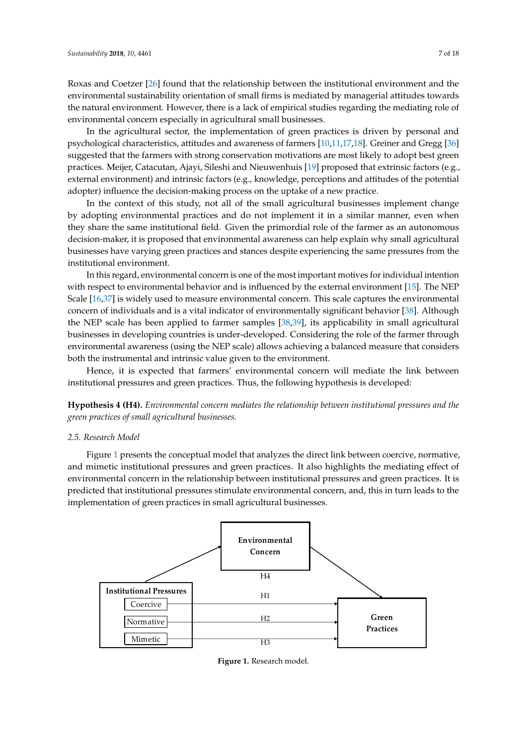Roxas and Coetzer [\[26\]](#page-16-12) found that the relationship between the institutional environment and the environmental sustainability orientation of small firms is mediated by managerial attitudes towards the natural environment. However, there is a lack of empirical studies regarding the mediating role of environmental concern especially in agricultural small businesses.

In the agricultural sector, the implementation of green practices is driven by personal and psychological characteristics, attitudes and awareness of farmers [\[10](#page-15-9)[,11,](#page-15-10)[17,](#page-16-4)[18\]](#page-16-22). Greiner and Gregg [\[36\]](#page-16-23) suggested that the farmers with strong conservation motivations are most likely to adopt best green practices. Meijer, Catacutan, Ajayi, Sileshi and Nieuwenhuis [\[19\]](#page-16-5) proposed that extrinsic factors (e.g., external environment) and intrinsic factors (e.g., knowledge, perceptions and attitudes of the potential adopter) influence the decision-making process on the uptake of a new practice.

In the context of this study, not all of the small agricultural businesses implement change by adopting environmental practices and do not implement it in a similar manner, even when they share the same institutional field. Given the primordial role of the farmer as an autonomous decision-maker, it is proposed that environmental awareness can help explain why small agricultural businesses have varying green practices and stances despite experiencing the same pressures from the institutional environment.

In this regard, environmental concern is one of the most important motives for individual intention with respect to environmental behavior and is influenced by the external environment [\[15\]](#page-16-2). The NEP Scale  $[16,37]$  $[16,37]$  is widely used to measure environmental concern. This scale captures the environmental concern of individuals and is a vital indicator of environmentally significant behavior [\[38\]](#page-17-1). Although the NEP scale has been applied to farmer samples [\[38](#page-17-1)[,39\]](#page-17-2), its applicability in small agricultural businesses in developing countries is under-developed. Considering the role of the farmer through environmental awareness (using the NEP scale) allows achieving a balanced measure that considers both the instrumental and intrinsic value given to the environment.

Hence, it is expected that farmers' environmental concern will mediate the link between institutional pressures and green practices. Thus, the following hypothesis is developed:

**Hypothesis 4 (H4).** *Environmental concern mediates the relationship between institutional pressures and the green practices of small agricultural businesses*. *green practices of small agricultural businesses.*

#### *2.5. Research Model 2.5. Research Model*

Figure 1 presents the conceptual model that analyzes the direct link between coercive, normative, and mimetic institutional pressures and green practices. It also highlights the mediating effect of environmental concern in the relationship between institutional pressures and green practices. It is predicted that institutional pressures stimulate environmental concern, and, this in turn leads to the implementation of green practices in small agricultural businesses. Figure 1 presents that analyzes that analyzes that analyzes that analyzes the direct link between coercive,  $\alpha$ rigure I presents the conceptual model that [an](#page-6-0)alyzes the difect link between coercive, hormative,

<span id="page-6-0"></span>

**Figure 1.** Research model.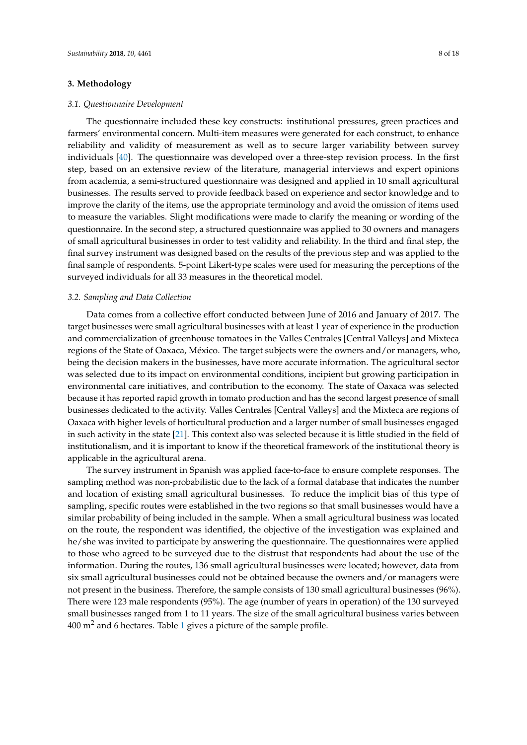## <span id="page-7-0"></span>**3. Methodology**

#### *3.1. Questionnaire Development*

The questionnaire included these key constructs: institutional pressures, green practices and farmers' environmental concern. Multi-item measures were generated for each construct, to enhance reliability and validity of measurement as well as to secure larger variability between survey individuals [\[40\]](#page-17-3). The questionnaire was developed over a three-step revision process. In the first step, based on an extensive review of the literature, managerial interviews and expert opinions from academia, a semi-structured questionnaire was designed and applied in 10 small agricultural businesses. The results served to provide feedback based on experience and sector knowledge and to improve the clarity of the items, use the appropriate terminology and avoid the omission of items used to measure the variables. Slight modifications were made to clarify the meaning or wording of the questionnaire. In the second step, a structured questionnaire was applied to 30 owners and managers of small agricultural businesses in order to test validity and reliability. In the third and final step, the final survey instrument was designed based on the results of the previous step and was applied to the final sample of respondents. 5-point Likert-type scales were used for measuring the perceptions of the surveyed individuals for all 33 measures in the theoretical model.

## *3.2. Sampling and Data Collection*

Data comes from a collective effort conducted between June of 2016 and January of 2017. The target businesses were small agricultural businesses with at least 1 year of experience in the production and commercialization of greenhouse tomatoes in the Valles Centrales [Central Valleys] and Mixteca regions of the State of Oaxaca, México. The target subjects were the owners and/or managers, who, being the decision makers in the businesses, have more accurate information. The agricultural sector was selected due to its impact on environmental conditions, incipient but growing participation in environmental care initiatives, and contribution to the economy. The state of Oaxaca was selected because it has reported rapid growth in tomato production and has the second largest presence of small businesses dedicated to the activity. Valles Centrales [Central Valleys] and the Mixteca are regions of Oaxaca with higher levels of horticultural production and a larger number of small businesses engaged in such activity in the state [\[21\]](#page-16-7). This context also was selected because it is little studied in the field of institutionalism, and it is important to know if the theoretical framework of the institutional theory is applicable in the agricultural arena.

The survey instrument in Spanish was applied face-to-face to ensure complete responses. The sampling method was non-probabilistic due to the lack of a formal database that indicates the number and location of existing small agricultural businesses. To reduce the implicit bias of this type of sampling, specific routes were established in the two regions so that small businesses would have a similar probability of being included in the sample. When a small agricultural business was located on the route, the respondent was identified, the objective of the investigation was explained and he/she was invited to participate by answering the questionnaire. The questionnaires were applied to those who agreed to be surveyed due to the distrust that respondents had about the use of the information. During the routes, 136 small agricultural businesses were located; however, data from six small agricultural businesses could not be obtained because the owners and/or managers were not present in the business. Therefore, the sample consists of 130 small agricultural businesses (96%). There were 123 male respondents (95%). The age (number of years in operation) of the 130 surveyed small businesses ranged from 1 to 11 years. The size of the small agricultural business varies between  $400 \text{ m}^2$  and 6 hectares. Table [1](#page-8-0) gives a picture of the sample profile.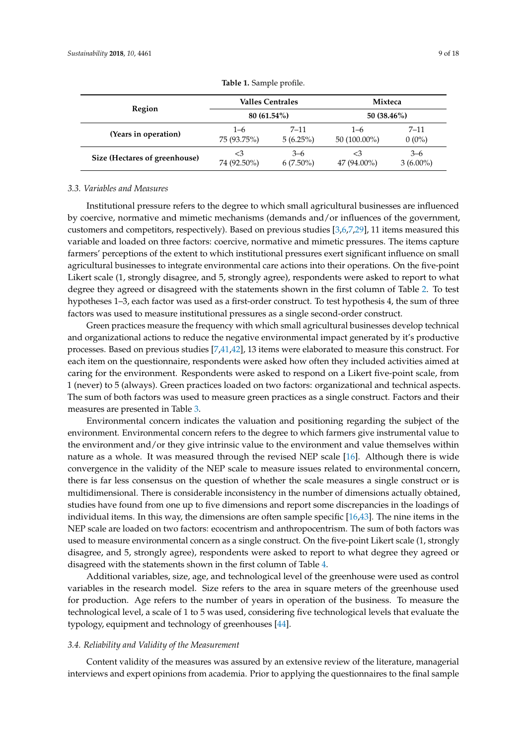<span id="page-8-0"></span>

|                               | Valles Centrales              |             | Mixteca        |             |  |
|-------------------------------|-------------------------------|-------------|----------------|-------------|--|
| Region                        | 80 (61.54%)<br>50 $(38.46\%)$ |             |                |             |  |
| (Years in operation)          | $1 - 6$                       | $7 - 11$    | $1 - 6$        | $7 - 11$    |  |
|                               | 75 (93.75%)                   | $5(6.25\%)$ | $50(100.00\%)$ | $0(0\%)$    |  |
| Size (Hectares of greenhouse) | $\leq$ 3                      | $3 - 6$     | $\leq 3$       | $3 - 6$     |  |
|                               | 74 (92.50%)                   | $6(7.50\%)$ | 47 (94.00%)    | $3(6.00\%)$ |  |

**Table 1.** Sample profile.

## *3.3. Variables and Measures*

Institutional pressure refers to the degree to which small agricultural businesses are influenced by coercive, normative and mimetic mechanisms (demands and/or influences of the government, customers and competitors, respectively). Based on previous studies [\[3](#page-15-1)[,6](#page-15-5)[,7,](#page-15-6)[29\]](#page-16-15), 11 items measured this variable and loaded on three factors: coercive, normative and mimetic pressures. The items capture farmers' perceptions of the extent to which institutional pressures exert significant influence on small agricultural businesses to integrate environmental care actions into their operations. On the five-point Likert scale (1, strongly disagree, and 5, strongly agree), respondents were asked to report to what degree they agreed or disagreed with the statements shown in the first column of Table [2.](#page-9-0) To test hypotheses 1–3, each factor was used as a first-order construct. To test hypothesis 4, the sum of three factors was used to measure institutional pressures as a single second-order construct.

Green practices measure the frequency with which small agricultural businesses develop technical and organizational actions to reduce the negative environmental impact generated by it's productive processes. Based on previous studies [\[7](#page-15-6)[,41,](#page-17-4)[42\]](#page-17-5), 13 items were elaborated to measure this construct. For each item on the questionnaire, respondents were asked how often they included activities aimed at caring for the environment. Respondents were asked to respond on a Likert five-point scale, from 1 (never) to 5 (always). Green practices loaded on two factors: organizational and technical aspects. The sum of both factors was used to measure green practices as a single construct. Factors and their measures are presented in Table [3.](#page-10-1)

Environmental concern indicates the valuation and positioning regarding the subject of the environment. Environmental concern refers to the degree to which farmers give instrumental value to the environment and/or they give intrinsic value to the environment and value themselves within nature as a whole. It was measured through the revised NEP scale [\[16\]](#page-16-3). Although there is wide convergence in the validity of the NEP scale to measure issues related to environmental concern, there is far less consensus on the question of whether the scale measures a single construct or is multidimensional. There is considerable inconsistency in the number of dimensions actually obtained, studies have found from one up to five dimensions and report some discrepancies in the loadings of individual items. In this way, the dimensions are often sample specific [\[16,](#page-16-3)[43\]](#page-17-6). The nine items in the NEP scale are loaded on two factors: ecocentrism and anthropocentrism. The sum of both factors was used to measure environmental concern as a single construct. On the five-point Likert scale (1, strongly disagree, and 5, strongly agree), respondents were asked to report to what degree they agreed or disagreed with the statements shown in the first column of Table [4.](#page-10-2)

Additional variables, size, age, and technological level of the greenhouse were used as control variables in the research model. Size refers to the area in square meters of the greenhouse used for production. Age refers to the number of years in operation of the business. To measure the technological level, a scale of 1 to 5 was used, considering five technological levels that evaluate the typology, equipment and technology of greenhouses [\[44\]](#page-17-7).

## *3.4. Reliability and Validity of the Measurement*

Content validity of the measures was assured by an extensive review of the literature, managerial interviews and expert opinions from academia. Prior to applying the questionnaires to the final sample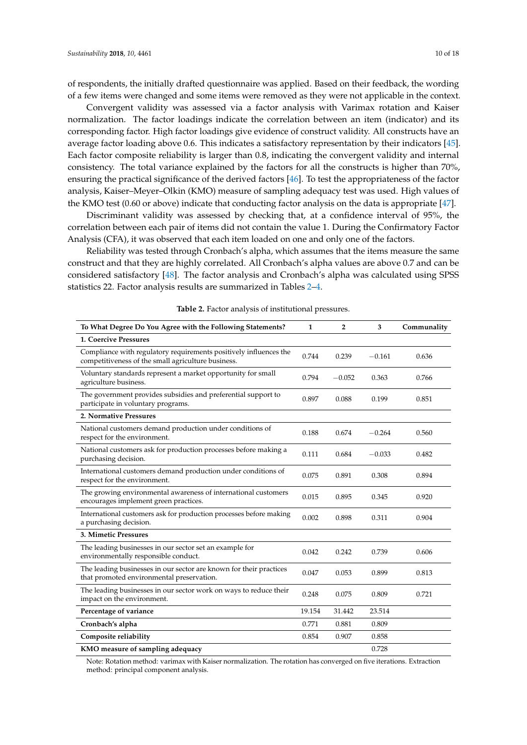of respondents, the initially drafted questionnaire was applied. Based on their feedback, the wording of a few items were changed and some items were removed as they were not applicable in the context.

Convergent validity was assessed via a factor analysis with Varimax rotation and Kaiser normalization. The factor loadings indicate the correlation between an item (indicator) and its corresponding factor. High factor loadings give evidence of construct validity. All constructs have an average factor loading above 0.6. This indicates a satisfactory representation by their indicators [\[45\]](#page-17-8). Each factor composite reliability is larger than 0.8, indicating the convergent validity and internal consistency. The total variance explained by the factors for all the constructs is higher than 70%, ensuring the practical significance of the derived factors [\[46\]](#page-17-9). To test the appropriateness of the factor analysis, Kaiser–Meyer–Olkin (KMO) measure of sampling adequacy test was used. High values of the KMO test (0.60 or above) indicate that conducting factor analysis on the data is appropriate [\[47\]](#page-17-10).

Discriminant validity was assessed by checking that, at a confidence interval of 95%, the correlation between each pair of items did not contain the value 1. During the Confirmatory Factor Analysis (CFA), it was observed that each item loaded on one and only one of the factors.

Reliability was tested through Cronbach's alpha, which assumes that the items measure the same construct and that they are highly correlated. All Cronbach's alpha values are above 0.7 and can be considered satisfactory [\[48\]](#page-17-11). The factor analysis and Cronbach's alpha was calculated using SPSS statistics 22. Factor analysis results are summarized in Tables [2](#page-9-0)[–4.](#page-10-2)

<span id="page-9-0"></span>

| To What Degree Do You Agree with the Following Statements?                                                              | $\mathbf{1}$ | $\overline{2}$ | 3        | Communality |
|-------------------------------------------------------------------------------------------------------------------------|--------------|----------------|----------|-------------|
| <b>1. Coercive Pressures</b>                                                                                            |              |                |          |             |
| Compliance with regulatory requirements positively influences the<br>competitiveness of the small agriculture business. | 0.744        | 0.239          | $-0.161$ | 0.636       |
| Voluntary standards represent a market opportunity for small<br>agriculture business.                                   | 0.794        | $-0.052$       | 0.363    | 0.766       |
| The government provides subsidies and preferential support to<br>participate in voluntary programs.                     | 0.897        | 0.088          | 0.199    | 0.851       |
| 2. Normative Pressures                                                                                                  |              |                |          |             |
| National customers demand production under conditions of<br>respect for the environment.                                | 0.188        | 0.674          | $-0.264$ | 0.560       |
| National customers ask for production processes before making a<br>purchasing decision.                                 | 0.111        | 0.684          | $-0.033$ | 0.482       |
| International customers demand production under conditions of<br>respect for the environment.                           | 0.075        | 0.891          | 0.308    | 0.894       |
| The growing environmental awareness of international customers<br>encourages implement green practices.                 | 0.015        | 0.895          | 0.345    | 0.920       |
| International customers ask for production processes before making<br>a purchasing decision.                            | 0.002        | 0.898          | 0.311    | 0.904       |
| 3. Mimetic Pressures                                                                                                    |              |                |          |             |
| The leading businesses in our sector set an example for<br>environmentally responsible conduct.                         | 0.042        | 0.242          | 0.739    | 0.606       |
| The leading businesses in our sector are known for their practices<br>that promoted environmental preservation.         | 0.047        | 0.053          | 0.899    | 0.813       |
| The leading businesses in our sector work on ways to reduce their<br>impact on the environment.                         | 0.248        | 0.075          | 0.809    | 0.721       |
| Percentage of variance                                                                                                  | 19.154       | 31.442         | 23.514   |             |
| Cronbach's alpha                                                                                                        | 0.771        | 0.881          | 0.809    |             |
| Composite reliability                                                                                                   | 0.854        | 0.907          | 0.858    |             |
| KMO measure of sampling adequacy                                                                                        |              |                | 0.728    |             |

**Table 2.** Factor analysis of institutional pressures.

Note: Rotation method: varimax with Kaiser normalization. The rotation has converged on five iterations. Extraction method: principal component analysis.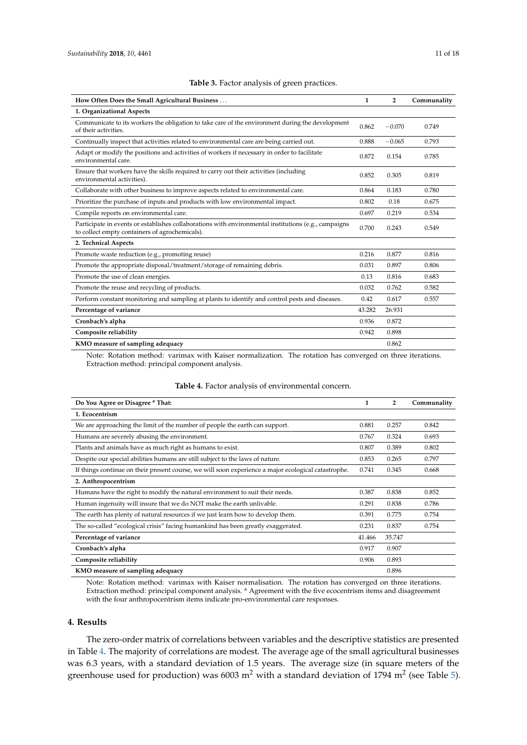<span id="page-10-1"></span>

| How Often Does the Small Agricultural Business                                                                                                         | $\mathbf{1}$ | $\overline{2}$ | Communality |
|--------------------------------------------------------------------------------------------------------------------------------------------------------|--------------|----------------|-------------|
| 1. Organizational Aspects                                                                                                                              |              |                |             |
| Communicate to its workers the obligation to take care of the environment during the development<br>of their activities.                               | 0.862        | $-0.070$       | 0.749       |
| Continually inspect that activities related to environmental care are being carried out.                                                               | 0.888        | $-0.065$       | 0.793       |
| Adapt or modify the positions and activities of workers if necessary in order to facilitate<br>environmental care.                                     | 0.872        | 0.154          | 0.785       |
| Ensure that workers have the skills required to carry out their activities (including<br>environmental activities).                                    | 0.852        | 0.305          | 0.819       |
| Collaborate with other business to improve aspects related to environmental care.                                                                      | 0.864        | 0.183          | 0.780       |
| Prioritize the purchase of inputs and products with low environmental impact.                                                                          | 0.802        | 0.18           | 0.675       |
| Compile reports on environmental care.                                                                                                                 | 0.697        | 0.219          | 0.534       |
| Participate in events or establishes collaborations with environmental institutions (e.g., campaigns<br>to collect empty containers of agrochemicals). | 0.700        | 0.243          | 0.549       |
| 2. Technical Aspects                                                                                                                                   |              |                |             |
| Promote waste reduction (e.g., promoting reuse)                                                                                                        | 0.216        | 0.877          | 0.816       |
| Promote the appropriate disposal/treatment/storage of remaining debris.                                                                                | 0.031        | 0.897          | 0.806       |
| Promote the use of clean energies.                                                                                                                     | 0.13         | 0.816          | 0.683       |
| Promote the reuse and recycling of products.                                                                                                           | 0.032        | 0.762          | 0.582       |
| Perform constant monitoring and sampling at plants to identify and control pests and diseases.                                                         | 0.42         | 0.617          | 0.557       |
| Percentage of variance                                                                                                                                 | 43.282       | 26.931         |             |
| Cronbach's alpha                                                                                                                                       | 0.936        | 0.872          |             |
| Composite reliability                                                                                                                                  | 0.942        | 0.898          |             |
| KMO measure of sampling adequacy                                                                                                                       |              | 0.862          |             |

## **Table 3.** Factor analysis of green practices.

Note: Rotation method: varimax with Kaiser normalization. The rotation has converged on three iterations. Extraction method: principal component analysis.

<span id="page-10-2"></span>

| Do You Agree or Disagree <sup>a</sup> That:                                                         | 1      | $\overline{2}$ | Communality |
|-----------------------------------------------------------------------------------------------------|--------|----------------|-------------|
| 1. Ecocentrism                                                                                      |        |                |             |
| We are approaching the limit of the number of people the earth can support.                         | 0.881  | 0.257          | 0.842       |
| Humans are severely abusing the environment.                                                        | 0.767  | 0.324          | 0.693       |
| Plants and animals have as much right as humans to exist.                                           | 0.807  | 0.389          | 0.802       |
| Despite our special abilities humans are still subject to the laws of nature.                       | 0.853  | 0.265          | 0.797       |
| If things continue on their present course, we will soon experience a major ecological catastrophe. | 0.741  | 0.345          | 0.668       |
| 2. Anthropocentrism                                                                                 |        |                |             |
| Humans have the right to modify the natural environment to suit their needs.                        | 0.387  | 0.838          | 0.852       |
| Human ingenuity will insure that we do NOT make the earth unlivable.                                | 0.291  | 0.838          | 0.786       |
| The earth has plenty of natural resources if we just learn how to develop them.                     | 0.391  | 0.775          | 0.754       |
| The so-called "ecological crisis" facing humankind has been greatly exaggerated.                    | 0.231  | 0.837          | 0.754       |
| Percentage of variance                                                                              | 41.466 | 35.747         |             |
| Cronbach's alpha                                                                                    | 0.917  | 0.907          |             |
| Composite reliability                                                                               | 0.906  | 0.893          |             |
| KMO measure of sampling adequacy                                                                    |        | 0.896          |             |

## **Table 4.** Factor analysis of environmental concern.

Note: Rotation method: varimax with Kaiser normalisation. The rotation has converged on three iterations. Extraction method: principal component analysis. <sup>a</sup> Agreement with the five ecocentrism items and disagreement with the four anthropocentrism items indicate pro-environmental care responses.

## <span id="page-10-0"></span>**4. Results**

The zero-order matrix of correlations between variables and the descriptive statistics are presented in Table [4.](#page-10-2) The majority of correlations are modest. The average age of the small agricultural businesses was 6.3 years, with a standard deviation of 1.5 years. The average size (in square meters of the greenhouse used for production) was 6003 m<sup>2</sup> with a standard deviation of 1794 m<sup>2</sup> (see Table [5\)](#page-11-0).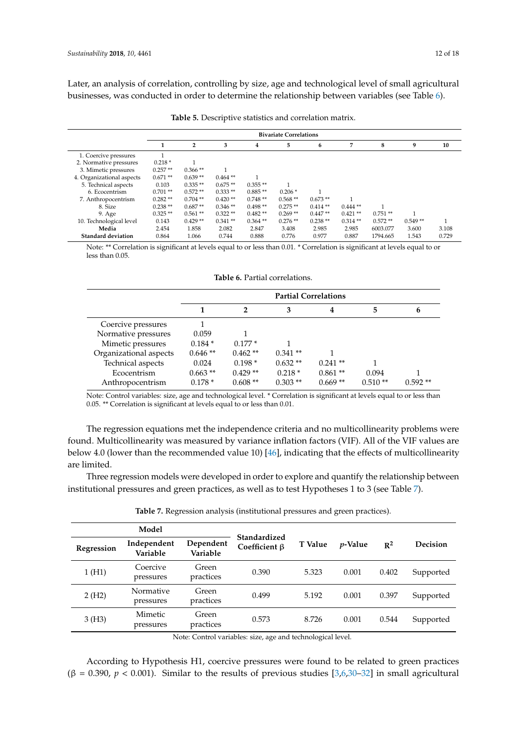Later, an analysis of correlation, controlling by size, age and technological level of small agricultural businesses, was conducted in order to determine the relationship between variables (see Table [6\)](#page-11-1).

<span id="page-11-0"></span>

|                           |           | <b>Bivariate Correlations</b> |           |            |           |           |           |           |           |       |
|---------------------------|-----------|-------------------------------|-----------|------------|-----------|-----------|-----------|-----------|-----------|-------|
|                           |           | $\overline{2}$                | 3         | 4          | 5.        | 6         | 7         | 8         | 9         | 10    |
| 1. Coercive pressures     |           |                               |           |            |           |           |           |           |           |       |
| 2. Normative pressures    | $0.218*$  |                               |           |            |           |           |           |           |           |       |
| 3. Mimetic pressures      | $0.257**$ | $0.366**$                     |           |            |           |           |           |           |           |       |
| 4. Organizational aspects | $0.671**$ | $0.639**$                     | $0.464**$ |            |           |           |           |           |           |       |
| 5. Technical aspects      | 0.103     | $0.335**$                     | $0.675**$ | $0.355**$  |           |           |           |           |           |       |
| 6. Ecocentrism            | $0.701**$ | $0.572**$                     | $0.333**$ | $0.885**$  | $0.206*$  |           |           |           |           |       |
| 7. Anthropocentrism       | $0.282**$ | $0.704$ **                    | $0.420**$ | $0.748**$  | $0.568**$ | $0.673**$ |           |           |           |       |
| 8. Size                   | $0.238**$ | $0.687**$                     | $0.346**$ | $0.498**$  | $0.275**$ | $0.414**$ | $0.444**$ |           |           |       |
| 9. Age                    | $0.325**$ | $0.561**$                     | $0.322**$ | $0.482**$  | $0.269**$ | $0.447**$ | $0.421**$ | $0.751**$ |           |       |
| 10. Technological level   | 0.143     | $0.429**$                     | $0.341**$ | $0.364$ ** | $0.276**$ | $0.238**$ | $0.314**$ | $0.572**$ | $0.549**$ |       |
| Media                     | 2.454     | 1.858                         | 2.082     | 2.847      | 3.408     | 2.985     | 2.985     | 6003.077  | 3.600     | 3.108 |
| <b>Standard deviation</b> | 0.864     | 1.066                         | 0.744     | 0.888      | 0.776     | 0.977     | 0.887     | 1794.665  | 1.543     | 0.729 |

**Table 5.** Descriptive statistics and correlation matrix.

Note: \*\* Correlation is significant at levels equal to or less than 0.01. \* Correlation is significant at levels equal to or less than 0.05.

**Table 6.** Partial correlations.

<span id="page-11-1"></span>

|                        | <b>Partial Correlations</b> |           |           |           |           |           |  |  |
|------------------------|-----------------------------|-----------|-----------|-----------|-----------|-----------|--|--|
|                        |                             |           | 3         | 4         | 5         | 6         |  |  |
| Coercive pressures     |                             |           |           |           |           |           |  |  |
| Normative pressures    | 0.059                       |           |           |           |           |           |  |  |
| Mimetic pressures      | $0.184*$                    | $0.177*$  |           |           |           |           |  |  |
| Organizational aspects | $0.646**$                   | $0.462**$ | $0.341**$ |           |           |           |  |  |
| Technical aspects      | 0.024                       | $0.198*$  | $0.632**$ | $0.241**$ |           |           |  |  |
| Ecocentrism            | $0.663$ **                  | $0.429**$ | $0.218*$  | $0.861**$ | 0.094     |           |  |  |
| Anthropocentrism       | $0.178*$                    | $0.608**$ | $0.303**$ | $0.669**$ | $0.510**$ | $0.592**$ |  |  |

Note: Control variables: size, age and technological level. \* Correlation is significant at levels equal to or less than 0.05. \*\* Correlation is significant at levels equal to or less than 0.01.

The regression equations met the independence criteria and no multicollinearity problems were found. Multicollinearity was measured by variance inflation factors (VIF). All of the VIF values are below 4.0 (lower than the recommended value 10) [\[46\]](#page-17-9), indicating that the effects of multicollinearity are limited.

Three regression models were developed in order to explore and quantify the relationship between institutional pressures and green practices, as well as to test Hypotheses 1 to 3 (see Table [7\)](#page-11-2).

<span id="page-11-2"></span>

|            | Model                   |                       |                                      |         |                 |                |                 |
|------------|-------------------------|-----------------------|--------------------------------------|---------|-----------------|----------------|-----------------|
| Regression | Independent<br>Variable | Dependent<br>Variable | Standardized<br>Coefficient <b>B</b> | T Value | <i>p</i> -Value | $\mathbb{R}^2$ | <b>Decision</b> |
| 1(H1)      | Coercive<br>pressures   | Green<br>practices    | 0.390                                | 5.323   | 0.001           | 0.402          | Supported       |
| 2(H2)      | Normative<br>pressures  | Green<br>practices    | 0.499                                | 5.192   | 0.001           | 0.397          | Supported       |
| 3(H3)      | Mimetic<br>pressures    | Green<br>practices    | 0.573                                | 8.726   | 0.001           | 0.544          | Supported       |

**Table 7.** Regression analysis (institutional pressures and green practices).

Note: Control variables: size, age and technological level.

According to Hypothesis H1, coercive pressures were found to be related to green practices  $(\beta = 0.390, p < 0.001)$ . Similar to the results of previous studies [\[3,](#page-15-1)[6](#page-15-5)[,30](#page-16-16)[–32\]](#page-16-18) in small agricultural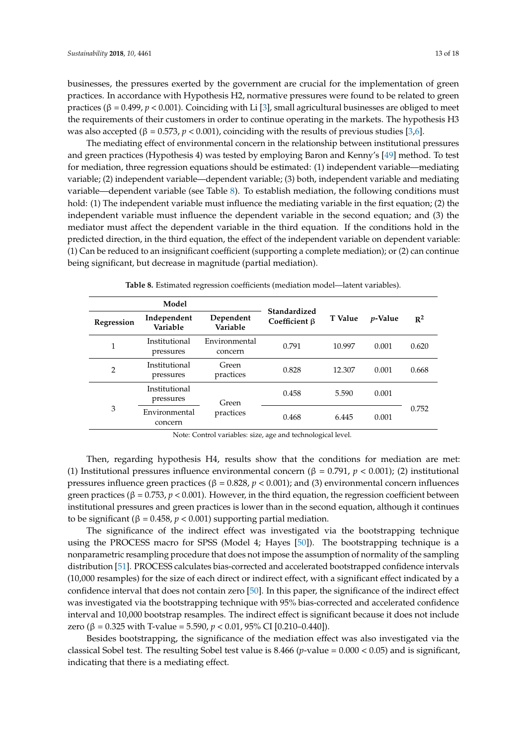businesses, the pressures exerted by the government are crucial for the implementation of green practices. In accordance with Hypothesis H2, normative pressures were found to be related to green practices (β = 0.499, *p* < 0.001). Coinciding with Li [\[3\]](#page-15-1), small agricultural businesses are obliged to meet the requirements of their customers in order to continue operating in the markets. The hypothesis H3 was also accepted (β = 0.573, *p* < 0.001), coinciding with the results of previous studies [\[3](#page-15-1)[,6\]](#page-15-5).

The mediating effect of environmental concern in the relationship between institutional pressures and green practices (Hypothesis 4) was tested by employing Baron and Kenny's [\[49\]](#page-17-12) method. To test for mediation, three regression equations should be estimated: (1) independent variable—mediating variable; (2) independent variable—dependent variable; (3) both, independent variable and mediating variable—dependent variable (see Table [8\)](#page-12-0). To establish mediation, the following conditions must hold: (1) The independent variable must influence the mediating variable in the first equation; (2) the independent variable must influence the dependent variable in the second equation; and (3) the mediator must affect the dependent variable in the third equation. If the conditions hold in the predicted direction, in the third equation, the effect of the independent variable on dependent variable: (1) Can be reduced to an insignificant coefficient (supporting a complete mediation); or (2) can continue being significant, but decrease in magnitude (partial mediation).

<span id="page-12-0"></span>

| Model          |                            |                          |                                     |                |            |                |
|----------------|----------------------------|--------------------------|-------------------------------------|----------------|------------|----------------|
| Regression     | Independent<br>Variable    | Dependent<br>Variable    | Standardized<br>Coefficient $\beta$ | <b>T</b> Value | $p$ -Value | $\mathbb{R}^2$ |
| 1              | Institutional<br>pressures | Environmental<br>concern | 0.791                               | 10.997         | 0.001      | 0.620          |
| $\overline{2}$ | Institutional<br>pressures | Green<br>practices       | 0.828                               | 12.307         | 0.001      | 0.668          |
| 3              | Institutional<br>pressures | Green                    | 0.458                               | 5.590          | 0.001      |                |
|                | Environmental<br>concern   | practices                | 0.468                               | 6.445          | 0.001      | 0.752          |

**Table 8.** Estimated regression coefficients (mediation model—latent variables).

Note: Control variables: size, age and technological level.

Then, regarding hypothesis H4, results show that the conditions for mediation are met: (1) Institutional pressures influence environmental concern ( $\beta = 0.791$ ,  $p < 0.001$ ); (2) institutional pressures influence green practices (β = 0.828, *p* < 0.001); and (3) environmental concern influences green practices (β = 0.753, *p* < 0.001). However, in the third equation, the regression coefficient between institutional pressures and green practices is lower than in the second equation, although it continues to be significant ( $β = 0.458, p < 0.001$ ) supporting partial mediation.

The significance of the indirect effect was investigated via the bootstrapping technique using the PROCESS macro for SPSS (Model 4; Hayes [\[50\]](#page-17-13)). The bootstrapping technique is a nonparametric resampling procedure that does not impose the assumption of normality of the sampling distribution [\[51\]](#page-17-14). PROCESS calculates bias-corrected and accelerated bootstrapped confidence intervals (10,000 resamples) for the size of each direct or indirect effect, with a significant effect indicated by a confidence interval that does not contain zero [\[50\]](#page-17-13). In this paper, the significance of the indirect effect was investigated via the bootstrapping technique with 95% bias-corrected and accelerated confidence interval and 10,000 bootstrap resamples. The indirect effect is significant because it does not include zero (β = 0.325 with T-value = 5.590,  $p < 0.01$ , 95% CI [0.210–0.440]).

Besides bootstrapping, the significance of the mediation effect was also investigated via the classical Sobel test. The resulting Sobel test value is 8.466 (*p*-value = 0.000 < 0.05) and is significant, indicating that there is a mediating effect.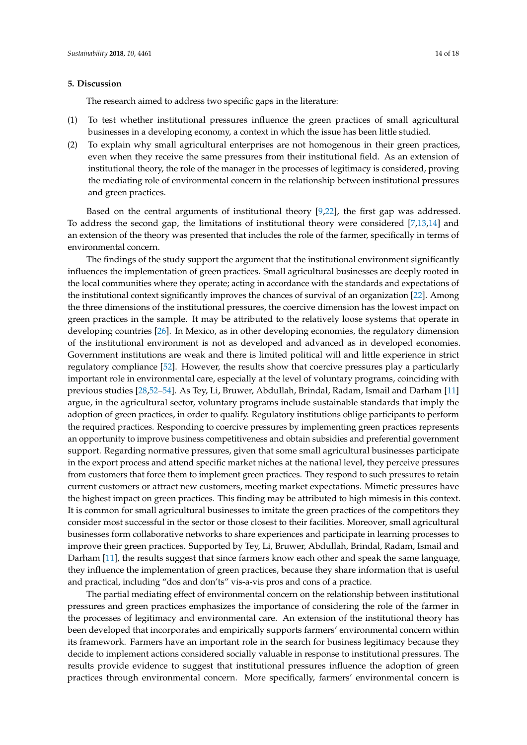#### <span id="page-13-0"></span>**5. Discussion**

The research aimed to address two specific gaps in the literature:

- (1) To test whether institutional pressures influence the green practices of small agricultural businesses in a developing economy, a context in which the issue has been little studied.
- (2) To explain why small agricultural enterprises are not homogenous in their green practices, even when they receive the same pressures from their institutional field. As an extension of institutional theory, the role of the manager in the processes of legitimacy is considered, proving the mediating role of environmental concern in the relationship between institutional pressures and green practices.

Based on the central arguments of institutional theory [\[9](#page-15-8)[,22\]](#page-16-8), the first gap was addressed. To address the second gap, the limitations of institutional theory were considered [\[7,](#page-15-6)[13,](#page-16-0)[14\]](#page-16-1) and an extension of the theory was presented that includes the role of the farmer, specifically in terms of environmental concern.

The findings of the study support the argument that the institutional environment significantly influences the implementation of green practices. Small agricultural businesses are deeply rooted in the local communities where they operate; acting in accordance with the standards and expectations of the institutional context significantly improves the chances of survival of an organization [\[22\]](#page-16-8). Among the three dimensions of the institutional pressures, the coercive dimension has the lowest impact on green practices in the sample. It may be attributed to the relatively loose systems that operate in developing countries [\[26\]](#page-16-12). In Mexico, as in other developing economies, the regulatory dimension of the institutional environment is not as developed and advanced as in developed economies. Government institutions are weak and there is limited political will and little experience in strict regulatory compliance [\[52\]](#page-17-15). However, the results show that coercive pressures play a particularly important role in environmental care, especially at the level of voluntary programs, coinciding with previous studies [\[28,](#page-16-14)[52–](#page-17-15)[54\]](#page-17-16). As Tey, Li, Bruwer, Abdullah, Brindal, Radam, Ismail and Darham [\[11\]](#page-15-10) argue, in the agricultural sector, voluntary programs include sustainable standards that imply the adoption of green practices, in order to qualify. Regulatory institutions oblige participants to perform the required practices. Responding to coercive pressures by implementing green practices represents an opportunity to improve business competitiveness and obtain subsidies and preferential government support. Regarding normative pressures, given that some small agricultural businesses participate in the export process and attend specific market niches at the national level, they perceive pressures from customers that force them to implement green practices. They respond to such pressures to retain current customers or attract new customers, meeting market expectations. Mimetic pressures have the highest impact on green practices. This finding may be attributed to high mimesis in this context. It is common for small agricultural businesses to imitate the green practices of the competitors they consider most successful in the sector or those closest to their facilities. Moreover, small agricultural businesses form collaborative networks to share experiences and participate in learning processes to improve their green practices. Supported by Tey, Li, Bruwer, Abdullah, Brindal, Radam, Ismail and Darham [\[11\]](#page-15-10), the results suggest that since farmers know each other and speak the same language, they influence the implementation of green practices, because they share information that is useful and practical, including "dos and don'ts" vis-a-vis pros and cons of a practice.

The partial mediating effect of environmental concern on the relationship between institutional pressures and green practices emphasizes the importance of considering the role of the farmer in the processes of legitimacy and environmental care. An extension of the institutional theory has been developed that incorporates and empirically supports farmers' environmental concern within its framework. Farmers have an important role in the search for business legitimacy because they decide to implement actions considered socially valuable in response to institutional pressures. The results provide evidence to suggest that institutional pressures influence the adoption of green practices through environmental concern. More specifically, farmers' environmental concern is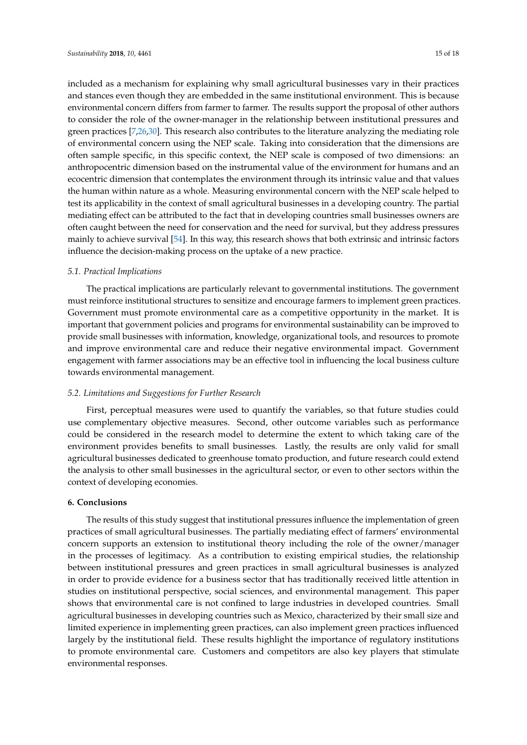included as a mechanism for explaining why small agricultural businesses vary in their practices and stances even though they are embedded in the same institutional environment. This is because environmental concern differs from farmer to farmer. The results support the proposal of other authors to consider the role of the owner-manager in the relationship between institutional pressures and green practices [\[7,](#page-15-6)[26,](#page-16-12)[30\]](#page-16-16). This research also contributes to the literature analyzing the mediating role of environmental concern using the NEP scale. Taking into consideration that the dimensions are often sample specific, in this specific context, the NEP scale is composed of two dimensions: an anthropocentric dimension based on the instrumental value of the environment for humans and an ecocentric dimension that contemplates the environment through its intrinsic value and that values the human within nature as a whole. Measuring environmental concern with the NEP scale helped to test its applicability in the context of small agricultural businesses in a developing country. The partial mediating effect can be attributed to the fact that in developing countries small businesses owners are often caught between the need for conservation and the need for survival, but they address pressures mainly to achieve survival [\[54\]](#page-17-16). In this way, this research shows that both extrinsic and intrinsic factors influence the decision-making process on the uptake of a new practice.

#### *5.1. Practical Implications*

The practical implications are particularly relevant to governmental institutions. The government must reinforce institutional structures to sensitize and encourage farmers to implement green practices. Government must promote environmental care as a competitive opportunity in the market. It is important that government policies and programs for environmental sustainability can be improved to provide small businesses with information, knowledge, organizational tools, and resources to promote and improve environmental care and reduce their negative environmental impact. Government engagement with farmer associations may be an effective tool in influencing the local business culture towards environmental management.

#### *5.2. Limitations and Suggestions for Further Research*

First, perceptual measures were used to quantify the variables, so that future studies could use complementary objective measures. Second, other outcome variables such as performance could be considered in the research model to determine the extent to which taking care of the environment provides benefits to small businesses. Lastly, the results are only valid for small agricultural businesses dedicated to greenhouse tomato production, and future research could extend the analysis to other small businesses in the agricultural sector, or even to other sectors within the context of developing economies.

### <span id="page-14-0"></span>**6. Conclusions**

The results of this study suggest that institutional pressures influence the implementation of green practices of small agricultural businesses. The partially mediating effect of farmers' environmental concern supports an extension to institutional theory including the role of the owner/manager in the processes of legitimacy. As a contribution to existing empirical studies, the relationship between institutional pressures and green practices in small agricultural businesses is analyzed in order to provide evidence for a business sector that has traditionally received little attention in studies on institutional perspective, social sciences, and environmental management. This paper shows that environmental care is not confined to large industries in developed countries. Small agricultural businesses in developing countries such as Mexico, characterized by their small size and limited experience in implementing green practices, can also implement green practices influenced largely by the institutional field. These results highlight the importance of regulatory institutions to promote environmental care. Customers and competitors are also key players that stimulate environmental responses.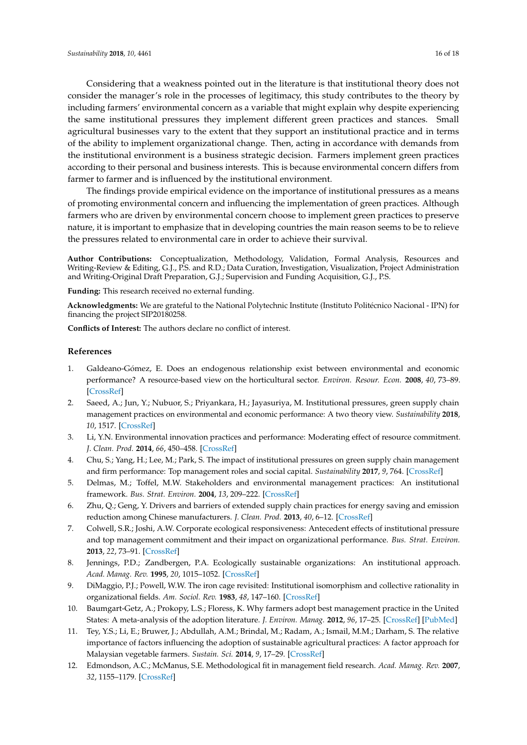Considering that a weakness pointed out in the literature is that institutional theory does not consider the manager's role in the processes of legitimacy, this study contributes to the theory by including farmers' environmental concern as a variable that might explain why despite experiencing the same institutional pressures they implement different green practices and stances. Small agricultural businesses vary to the extent that they support an institutional practice and in terms of the ability to implement organizational change. Then, acting in accordance with demands from the institutional environment is a business strategic decision. Farmers implement green practices according to their personal and business interests. This is because environmental concern differs from farmer to farmer and is influenced by the institutional environment.

The findings provide empirical evidence on the importance of institutional pressures as a means of promoting environmental concern and influencing the implementation of green practices. Although farmers who are driven by environmental concern choose to implement green practices to preserve nature, it is important to emphasize that in developing countries the main reason seems to be to relieve the pressures related to environmental care in order to achieve their survival.

**Author Contributions:** Conceptualization, Methodology, Validation, Formal Analysis, Resources and Writing-Review & Editing, G.J., P.S. and R.D.; Data Curation, Investigation, Visualization, Project Administration and Writing-Original Draft Preparation, G.J.; Supervision and Funding Acquisition, G.J., P.S.

**Funding:** This research received no external funding.

**Acknowledgments:** We are grateful to the National Polytechnic Institute (Instituto Politécnico Nacional - IPN) for financing the project SIP20180258.

**Conflicts of Interest:** The authors declare no conflict of interest.

## **References**

- <span id="page-15-0"></span>1. Galdeano-Gómez, E. Does an endogenous relationship exist between environmental and economic performance? A resource-based view on the horticultural sector. *Environ. Resour. Econ.* **2008**, *40*, 73–89. [\[CrossRef\]](http://dx.doi.org/10.1007/s10640-007-9141-4)
- <span id="page-15-4"></span>2. Saeed, A.; Jun, Y.; Nubuor, S.; Priyankara, H.; Jayasuriya, M. Institutional pressures, green supply chain management practices on environmental and economic performance: A two theory view. *Sustainability* **2018**, *10*, 1517. [\[CrossRef\]](http://dx.doi.org/10.3390/su10051517)
- <span id="page-15-1"></span>3. Li, Y.N. Environmental innovation practices and performance: Moderating effect of resource commitment. *J. Clean. Prod.* **2014**, *66*, 450–458. [\[CrossRef\]](http://dx.doi.org/10.1016/j.jclepro.2013.11.044)
- <span id="page-15-2"></span>4. Chu, S.; Yang, H.; Lee, M.; Park, S. The impact of institutional pressures on green supply chain management and firm performance: Top management roles and social capital. *Sustainability* **2017**, *9*, 764. [\[CrossRef\]](http://dx.doi.org/10.3390/su9050764)
- <span id="page-15-3"></span>5. Delmas, M.; Toffel, M.W. Stakeholders and environmental management practices: An institutional framework. *Bus. Strat. Environ.* **2004**, *13*, 209–222. [\[CrossRef\]](http://dx.doi.org/10.1002/bse.409)
- <span id="page-15-5"></span>6. Zhu, Q.; Geng, Y. Drivers and barriers of extended supply chain practices for energy saving and emission reduction among Chinese manufacturers. *J. Clean. Prod.* **2013**, *40*, 6–12. [\[CrossRef\]](http://dx.doi.org/10.1016/j.jclepro.2010.09.017)
- <span id="page-15-6"></span>7. Colwell, S.R.; Joshi, A.W. Corporate ecological responsiveness: Antecedent effects of institutional pressure and top management commitment and their impact on organizational performance. *Bus. Strat. Environ.* **2013**, *22*, 73–91. [\[CrossRef\]](http://dx.doi.org/10.1002/bse.732)
- <span id="page-15-7"></span>8. Jennings, P.D.; Zandbergen, P.A. Ecologically sustainable organizations: An institutional approach. *Acad. Manag. Rev.* **1995**, *20*, 1015–1052. [\[CrossRef\]](http://dx.doi.org/10.5465/amr.1995.9512280034)
- <span id="page-15-8"></span>9. DiMaggio, P.J.; Powell, W.W. The iron cage revisited: Institutional isomorphism and collective rationality in organizational fields. *Am. Sociol. Rev.* **1983**, *48*, 147–160. [\[CrossRef\]](http://dx.doi.org/10.2307/2095101)
- <span id="page-15-9"></span>10. Baumgart-Getz, A.; Prokopy, L.S.; Floress, K. Why farmers adopt best management practice in the United States: A meta-analysis of the adoption literature. *J. Environ. Manag.* **2012**, *96*, 17–25. [\[CrossRef\]](http://dx.doi.org/10.1016/j.jenvman.2011.10.006) [\[PubMed\]](http://www.ncbi.nlm.nih.gov/pubmed/22208394)
- <span id="page-15-10"></span>11. Tey, Y.S.; Li, E.; Bruwer, J.; Abdullah, A.M.; Brindal, M.; Radam, A.; Ismail, M.M.; Darham, S. The relative importance of factors influencing the adoption of sustainable agricultural practices: A factor approach for Malaysian vegetable farmers. *Sustain. Sci.* **2014**, *9*, 17–29. [\[CrossRef\]](http://dx.doi.org/10.1007/s11625-013-0219-3)
- <span id="page-15-11"></span>12. Edmondson, A.C.; McManus, S.E. Methodological fit in management field research. *Acad. Manag. Rev.* **2007**, *32*, 1155–1179. [\[CrossRef\]](http://dx.doi.org/10.5465/amr.2007.26586086)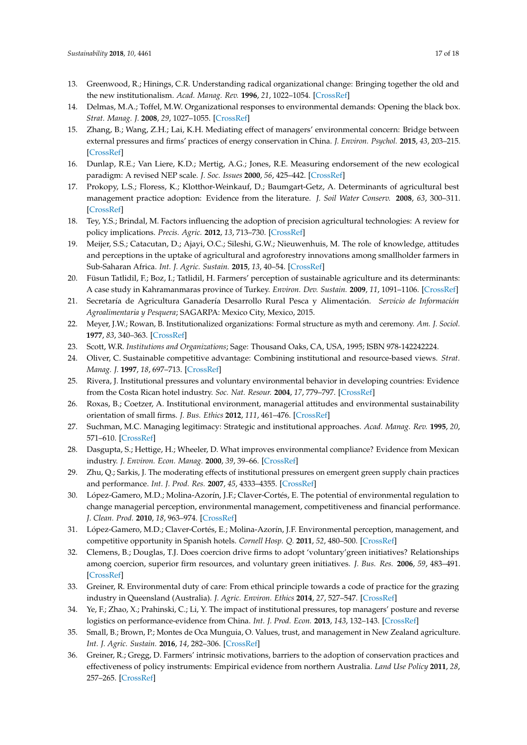- <span id="page-16-0"></span>13. Greenwood, R.; Hinings, C.R. Understanding radical organizational change: Bringing together the old and the new institutionalism. *Acad. Manag. Rev.* **1996**, *21*, 1022–1054. [\[CrossRef\]](http://dx.doi.org/10.5465/amr.1996.9704071862)
- <span id="page-16-1"></span>14. Delmas, M.A.; Toffel, M.W. Organizational responses to environmental demands: Opening the black box. *Strat. Manag. J.* **2008**, *29*, 1027–1055. [\[CrossRef\]](http://dx.doi.org/10.1002/smj.701)
- <span id="page-16-2"></span>15. Zhang, B.; Wang, Z.H.; Lai, K.H. Mediating effect of managers' environmental concern: Bridge between external pressures and firms' practices of energy conservation in China. *J. Environ. Psychol.* **2015**, *43*, 203–215. [\[CrossRef\]](http://dx.doi.org/10.1016/j.jenvp.2015.07.002)
- <span id="page-16-3"></span>16. Dunlap, R.E.; Van Liere, K.D.; Mertig, A.G.; Jones, R.E. Measuring endorsement of the new ecological paradigm: A revised NEP scale. *J. Soc. Issues* **2000**, *56*, 425–442. [\[CrossRef\]](http://dx.doi.org/10.1111/0022-4537.00176)
- <span id="page-16-4"></span>17. Prokopy, L.S.; Floress, K.; Klotthor-Weinkauf, D.; Baumgart-Getz, A. Determinants of agricultural best management practice adoption: Evidence from the literature. *J. Soil Water Conserv.* **2008**, *63*, 300–311. [\[CrossRef\]](http://dx.doi.org/10.2489/jswc.63.5.300)
- <span id="page-16-22"></span>18. Tey, Y.S.; Brindal, M. Factors influencing the adoption of precision agricultural technologies: A review for policy implications. *Precis. Agric.* **2012**, *13*, 713–730. [\[CrossRef\]](http://dx.doi.org/10.1007/s11119-012-9273-6)
- <span id="page-16-5"></span>19. Meijer, S.S.; Catacutan, D.; Ajayi, O.C.; Sileshi, G.W.; Nieuwenhuis, M. The role of knowledge, attitudes and perceptions in the uptake of agricultural and agroforestry innovations among smallholder farmers in Sub-Saharan Africa. *Int. J. Agric. Sustain.* **2015**, *13*, 40–54. [\[CrossRef\]](http://dx.doi.org/10.1080/14735903.2014.912493)
- <span id="page-16-6"></span>20. Füsun Tatlidil, F.; Boz, I.; Tatlidil, H. Farmers' perception of sustainable agriculture and its determinants: A case study in Kahramanmaras province of Turkey. *Environ. Dev. Sustain.* **2009**, *11*, 1091–1106. [\[CrossRef\]](http://dx.doi.org/10.1007/s10668-008-9168-x)
- <span id="page-16-7"></span>21. Secretaría de Agricultura Ganadería Desarrollo Rural Pesca y Alimentación. *Servicio de Información Agroalimentaria y Pesquera*; SAGARPA: Mexico City, Mexico, 2015.
- <span id="page-16-8"></span>22. Meyer, J.W.; Rowan, B. Institutionalized organizations: Formal structure as myth and ceremony. *Am. J. Sociol.* **1977**, *83*, 340–363. [\[CrossRef\]](http://dx.doi.org/10.1086/226550)
- <span id="page-16-9"></span>23. Scott, W.R. *Institutions and Organizations*; Sage: Thousand Oaks, CA, USA, 1995; ISBN 978-142242224.
- <span id="page-16-10"></span>24. Oliver, C. Sustainable competitive advantage: Combining institutional and resource-based views. *Strat. Manag. J.* **1997**, *18*, 697–713. [\[CrossRef\]](http://dx.doi.org/10.1002/(SICI)1097-0266(199710)18:9<697::AID-SMJ909>3.0.CO;2-C)
- <span id="page-16-11"></span>25. Rivera, J. Institutional pressures and voluntary environmental behavior in developing countries: Evidence from the Costa Rican hotel industry. *Soc. Nat. Resour.* **2004**, *17*, 779–797. [\[CrossRef\]](http://dx.doi.org/10.1080/08941920490493783)
- <span id="page-16-12"></span>26. Roxas, B.; Coetzer, A. Institutional environment, managerial attitudes and environmental sustainability orientation of small firms. *J. Bus. Ethics* **2012**, *111*, 461–476. [\[CrossRef\]](http://dx.doi.org/10.1007/s10551-012-1211-z)
- <span id="page-16-13"></span>27. Suchman, M.C. Managing legitimacy: Strategic and institutional approaches. *Acad. Manag. Rev.* **1995**, *20*, 571–610. [\[CrossRef\]](http://dx.doi.org/10.5465/amr.1995.9508080331)
- <span id="page-16-14"></span>28. Dasgupta, S.; Hettige, H.; Wheeler, D. What improves environmental compliance? Evidence from Mexican industry. *J. Environ. Econ. Manag.* **2000**, *39*, 39–66. [\[CrossRef\]](http://dx.doi.org/10.1006/jeem.1999.1090)
- <span id="page-16-15"></span>29. Zhu, Q.; Sarkis, J. The moderating effects of institutional pressures on emergent green supply chain practices and performance. *Int. J. Prod. Res.* **2007**, *45*, 4333–4355. [\[CrossRef\]](http://dx.doi.org/10.1080/00207540701440345)
- <span id="page-16-16"></span>30. López-Gamero, M.D.; Molina-Azorín, J.F.; Claver-Cortés, E. The potential of environmental regulation to change managerial perception, environmental management, competitiveness and financial performance. *J. Clean. Prod.* **2010**, *18*, 963–974. [\[CrossRef\]](http://dx.doi.org/10.1016/j.jclepro.2010.02.015)
- <span id="page-16-17"></span>31. López-Gamero, M.D.; Claver-Cortés, E.; Molina-Azorín, J.F. Environmental perception, management, and competitive opportunity in Spanish hotels. *Cornell Hosp. Q.* **2011**, *52*, 480–500. [\[CrossRef\]](http://dx.doi.org/10.1177/1938965511420694)
- <span id="page-16-18"></span>32. Clemens, B.; Douglas, T.J. Does coercion drive firms to adopt 'voluntary'green initiatives? Relationships among coercion, superior firm resources, and voluntary green initiatives. *J. Bus. Res.* **2006**, *59*, 483–491. [\[CrossRef\]](http://dx.doi.org/10.1016/j.jbusres.2005.09.016)
- <span id="page-16-19"></span>33. Greiner, R. Environmental duty of care: From ethical principle towards a code of practice for the grazing industry in Queensland (Australia). *J. Agric. Environ. Ethics* **2014**, *27*, 527–547. [\[CrossRef\]](http://dx.doi.org/10.1007/s10806-013-9475-6)
- <span id="page-16-20"></span>34. Ye, F.; Zhao, X.; Prahinski, C.; Li, Y. The impact of institutional pressures, top managers' posture and reverse logistics on performance-evidence from China. *Int. J. Prod. Econ.* **2013**, *143*, 132–143. [\[CrossRef\]](http://dx.doi.org/10.1016/j.ijpe.2012.12.021)
- <span id="page-16-21"></span>35. Small, B.; Brown, P.; Montes de Oca Munguia, O. Values, trust, and management in New Zealand agriculture. *Int. J. Agric. Sustain.* **2016**, *14*, 282–306. [\[CrossRef\]](http://dx.doi.org/10.1080/14735903.2015.1111571)
- <span id="page-16-23"></span>36. Greiner, R.; Gregg, D. Farmers' intrinsic motivations, barriers to the adoption of conservation practices and effectiveness of policy instruments: Empirical evidence from northern Australia. *Land Use Policy* **2011**, *28*, 257–265. [\[CrossRef\]](http://dx.doi.org/10.1016/j.landusepol.2010.06.006)